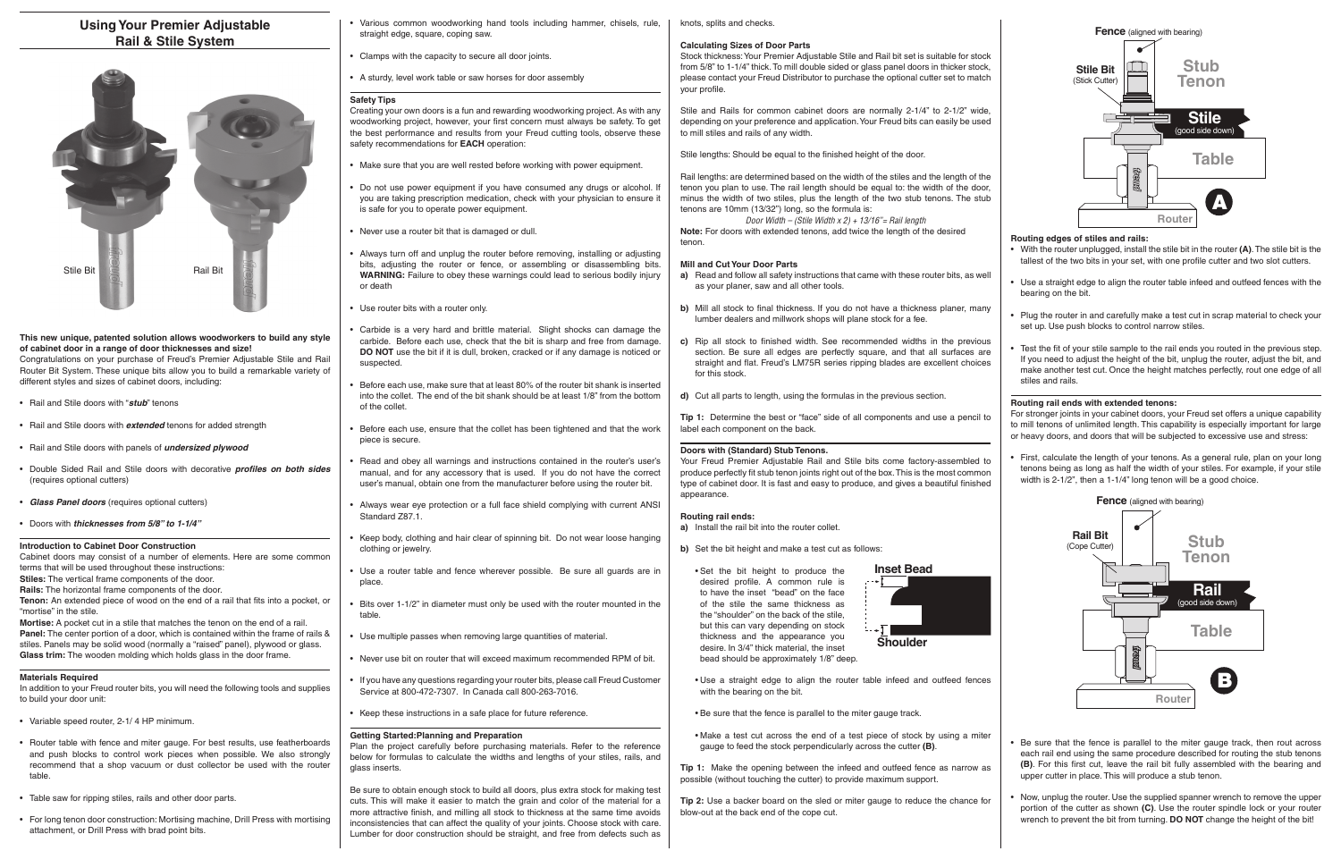# **Using Your Premier Adjustable Rail & Stile System**

## **This new unique, patented solution allows woodworkers to build any style of cabinet door in a range of door thicknesses and size!**

Congratulations on your purchase of Freud's Premier Adjustable Stile and Rail Router Bit System. These unique bits allow you to build a remarkable variety of different styles and sizes of cabinet doors, including:

**Tenon:** An extended piece of wood on the end of a rail that fits into a pocket, or "mortise" in the stile.

- Rail and Stile doors with "*stub*" tenons
- Rail and Stile doors with *extended* tenons for added strength
- Rail and Stile doors with panels of *undersized plywood*
- Double Sided Rail and Stile doors with decorative *profiles on both sides* (requires optional cutters)
- *Glass Panel doors* (requires optional cutters)
- Doors with *thicknesses from 5/8" to 1-1/4"*

## **Introduction to Cabinet Door Construction**

Cabinet doors may consist of a number of elements. Here are some common terms that will be used throughout these instructions:

**Stiles:** The vertical frame components of the door.

**Rails:** The horizontal frame components of the door.

**Mortise:** A pocket cut in a stile that matches the tenon on the end of a rail. **Panel:** The center portion of a door, which is contained within the frame of rails & stiles. Panels may be solid wood (normally a "raised" panel), plywood or glass. **Glass trim:** The wooden molding which holds glass in the door frame.

#### **Materials Required**

In addition to your Freud router bits, you will need the following tools and supplies to build your door unit:

- Variable speed router, 2-1/ 4 HP minimum.
- Router table with fence and miter gauge. For best results, use featherboards and push blocks to control work pieces when possible. We also strongly recommend that a shop vacuum or dust collector be used with the router table.
- Table saw for ripping stiles, rails and other door parts.
- For long tenon door construction: Mortising machine, Drill Press with mortising attachment, or Drill Press with brad point bits.
- Various common woodworking hand tools including hammer, chisels, rule, straight edge, square, coping saw.
- Clamps with the capacity to secure all door joints.
- A sturdy, level work table or saw horses for door assembly

#### **Safety Tips**

Creating your own doors is a fun and rewarding woodworking project. As with any woodworking project, however, your first concern must always be safety. To get the best performance and results from your Freud cutting tools, observe these safety recommendations for **EACH** operation:

Stock thickness: Your Premier Adjustable Stile and Rail bit set is suitable for stock from 5/8" to 1-1/4" thick. To mill double sided or glass panel doors in thicker stock, please contact your Freud Distributor to purchase the optional cutter set to match your profile.

- Make sure that you are well rested before working with power equipment.
- Do not use power equipment if you have consumed any drugs or alcohol. If you are taking prescription medication, check with your physician to ensure it is safe for you to operate power equipment.
- Never use a router bit that is damaged or dull.
- Always turn off and unplug the router before removing, installing or adjusting bits, adjusting the router or fence, or assembling or disassembling bits. **WARNING:** Failure to obey these warnings could lead to serious bodily injury or death
- Use router bits with a router only.
- Carbide is a very hard and brittle material. Slight shocks can damage the carbide. Before each use, check that the bit is sharp and free from damage. **DO NOT** use the bit if it is dull, broken, cracked or if any damage is noticed or suspected.
- Before each use, make sure that at least 80% of the router bit shank is inserted into the collet. The end of the bit shank should be at least 1/8" from the bottom of the collet.
- Before each use, ensure that the collet has been tightened and that the work piece is secure.
- Read and obey all warnings and instructions contained in the router's user's manual, and for any accessory that is used. If you do not have the correct user's manual, obtain one from the manufacturer before using the router bit.
- Always wear eye protection or a full face shield complying with current ANSI Standard Z87.1.
- Keep body, clothing and hair clear of spinning bit. Do not wear loose hanging clothing or jewelry.
- Use a router table and fence wherever possible. Be sure all guards are in place.
- Bits over 1-1/2" in diameter must only be used with the router mounted in the table.
- Use multiple passes when removing large quantities of material.
- Never use bit on router that will exceed maximum recommended RPM of bit.
- If you have any questions regarding your router bits, please call Freud Customer Service at 800-472-7307. In Canada call 800-263-7016.
- Keep these instructions in a safe place for future reference.

## **Getting Started:Planning and Preparation**

Plan the project carefully before purchasing materials. Refer to the reference below for formulas to calculate the widths and lengths of your stiles, rails, and glass inserts.

Be sure to obtain enough stock to build all doors, plus extra stock for making test cuts. This will make it easier to match the grain and color of the material for a more attractive finish, and milling all stock to thickness at the same time avoids inconsistencies that can affect the quality of your joints. Choose stock with care. Lumber for door construction should be straight, and free from defects such as

knots, splits and checks.

#### **Calculating Sizes of Door Parts**

Stile and Rails for common cabinet doors are normally 2-1/4" to 2-1/2" wide, depending on your preference and application. Your Freud bits can easily be used to mill stiles and rails of any width.

Stile lengths: Should be equal to the finished height of the door.

Rail lengths: are determined based on the width of the stiles and the length of the tenon you plan to use. The rail length should be equal to: the width of the door, minus the width of two stiles, plus the length of the two stub tenons. The stub tenons are 10mm (13/32") long, so the formula is:

*Door Width – (Stile Width x 2) + 13/16"= Rail length* **Note:** For doors with extended tenons, add twice the length of the desired tenon.

## **Mill and Cut Your Door Parts**

- **a)** Read and follow all safety instructions that came with these router bits, as well as your planer, saw and all other tools.
- **b)** Mill all stock to final thickness. If you do not have a thickness planer, many lumber dealers and millwork shops will plane stock for a fee.
- **c)** Rip all stock to finished width. See recommended widths in the previous section. Be sure all edges are perfectly square, and that all surfaces are straight and flat. Freud's LM75R series ripping blades are excellent choices for this stock.
- **d)** Cut all parts to length, using the formulas in the previous section.

**Tip 1:** Determine the best or "face" side of all components and use a pencil to label each component on the back.

## **Doors with (Standard) Stub Tenons.**

Your Freud Premier Adjustable Rail and Stile bits come factory-assembled to produce perfectly fit stub tenon joints right out of the box. This is the most common type of cabinet door. It is fast and easy to produce, and gives a beautiful finished appearance.

## **Routing rail ends:**

**a)** Install the rail bit into the router collet.

**b)** Set the bit height and make a test cut as follows:

 • Set the bit height to produce the desired profile. A common rule is to have the inset "bead" on the face of the stile the same thickness as the "shoulder" on the back of the stile, but this can vary depending on stock thickness and the appearance you desire. In 3/4" thick material, the inset bead should be approximately 1/8" deep.

- Use a straight edge to align the router table infeed and outfeed fences with the bearing on the bit.
- Be sure that the fence is parallel to the miter gauge track.
- Make a test cut across the end of a test piece of stock by using a miter gauge to feed the stock perpendicularly across the cutter **(B)**.

**Tip 1:** Make the opening between the infeed and outfeed fence as narrow as possible (without touching the cutter) to provide maximum support.

**Tip 2:** Use a backer board on the sled or miter gauge to reduce the chance for blow-out at the back end of the cope cut.

• Now, unplug the router. Use the supplied spanner wrench to remove the upper portion of the cutter as shown **(C)**. Use the router spindle lock or your router wrench to prevent the bit from turning. **DO NOT** change the height of the bit!